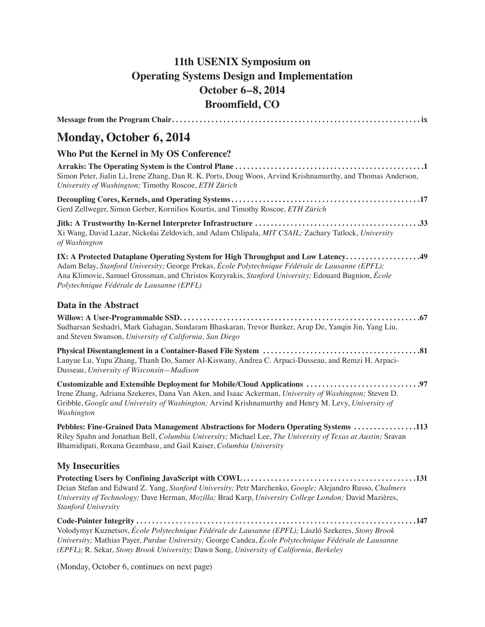## **11th USENIX Symposium on Operating Systems Design and Implementation October 6–8, 2014 Broomfield, CO**

| <b>Monday, October 6, 2014</b>                                                                                                                                                                                                                                                                                                          |
|-----------------------------------------------------------------------------------------------------------------------------------------------------------------------------------------------------------------------------------------------------------------------------------------------------------------------------------------|
| Who Put the Kernel in My OS Conference?                                                                                                                                                                                                                                                                                                 |
| Simon Peter, Jialin Li, Irene Zhang, Dan R. K. Ports, Doug Woos, Arvind Krishnamurthy, and Thomas Anderson,<br>University of Washington; Timothy Roscoe, ETH Zürich                                                                                                                                                                     |
| Gerd Zellweger, Simon Gerber, Kornilios Kourtis, and Timothy Roscoe, ETH Zürich                                                                                                                                                                                                                                                         |
| Xi Wang, David Lazar, Nickolai Zeldovich, and Adam Chlipala, MIT CSAIL; Zachary Tatlock, University<br>of Washington                                                                                                                                                                                                                    |
| IX: A Protected Dataplane Operating System for High Throughput and Low Latency49<br>Adam Belay, Stanford University; George Prekas, École Polytechnique Fédérale de Lausanne (EPFL);<br>Ana Klimovic, Samuel Grossman, and Christos Kozyrakis, Stanford University; Edouard Bugnion, École<br>Polytechnique Fédérale de Lausanne (EPFL) |
| Data in the Abstract                                                                                                                                                                                                                                                                                                                    |
| Sudharsan Seshadri, Mark Gahagan, Sundaram Bhaskaran, Trevor Bunker, Arup De, Yanqin Jin, Yang Liu,<br>and Steven Swanson, University of California, San Diego                                                                                                                                                                          |
| Lanyue Lu, Yupu Zhang, Thanh Do, Samer Al-Kiswany, Andrea C. Arpaci-Dusseau, and Remzi H. Arpaci-<br>Dusseau, University of Wisconsin-Madison                                                                                                                                                                                           |
| Irene Zhang, Adriana Szekeres, Dana Van Aken, and Isaac Ackerman, University of Washington; Steven D.<br>Gribble, Google and University of Washington; Arvind Krishnamurthy and Henry M. Levy, University of<br>Washington                                                                                                              |
| Pebbles: Fine-Grained Data Management Abstractions for Modern Operating Systems 113<br>Riley Spahn and Jonathan Bell, Columbia University; Michael Lee, The University of Texas at Austin; Sravan<br>Bhamidipati, Roxana Geambasu, and Gail Kaiser, Columbia University                                                                 |
| <b>My Insecurities</b>                                                                                                                                                                                                                                                                                                                  |
| Deian Stefan and Edward Z. Yang, Stanford University; Petr Marchenko, Google; Alejandro Russo, Chalmers<br>University of Technology; Dave Herman, Mozilla; Brad Karp, University College London; David Mazières,<br><b>Stanford University</b>                                                                                          |
| Volodymyr Kuznetsov, École Polytechnique Fédérale de Lausanne (EPFL); László Szekeres, Stony Brook<br>University; Mathias Payer, Purdue University; George Candea, École Polytechnique Fédérale de Lausanne<br>(EPFL); R. Sekar, Stony Brook University; Dawn Song, University of California, Berkeley                                  |

(Monday, October 6, continues on next page)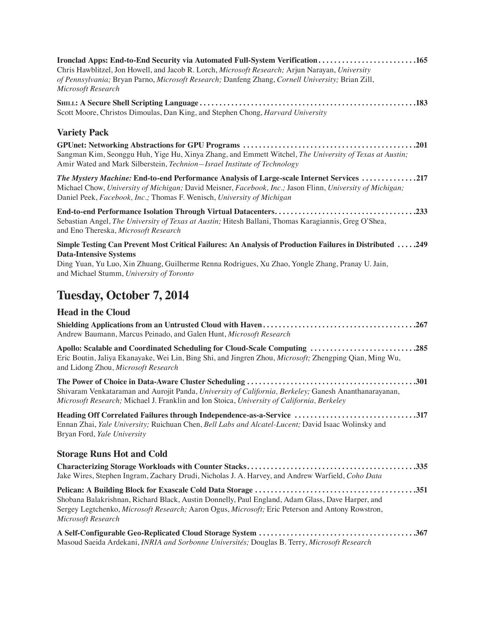| Ironclad Apps: End-to-End Security via Automated Full-System Verification165<br>Chris Hawblitzel, Jon Howell, and Jacob R. Lorch, Microsoft Research; Arjun Narayan, University<br>of Pennsylvania; Bryan Parno, Microsoft Research; Danfeng Zhang, Cornell University; Brian Zill,<br>Microsoft Research |  |
|-----------------------------------------------------------------------------------------------------------------------------------------------------------------------------------------------------------------------------------------------------------------------------------------------------------|--|
| Scott Moore, Christos Dimoulas, Dan King, and Stephen Chong, Harvard University                                                                                                                                                                                                                           |  |
| <b>Variety Pack</b>                                                                                                                                                                                                                                                                                       |  |
| Sangman Kim, Seonggu Huh, Yige Hu, Xinya Zhang, and Emmett Witchel, The University of Texas at Austin;<br>Amir Wated and Mark Silberstein, Technion-Israel Institute of Technology                                                                                                                        |  |
| The Mystery Machine: End-to-end Performance Analysis of Large-scale Internet Services 217<br>Michael Chow, University of Michigan; David Meisner, Facebook, Inc.; Jason Flinn, University of Michigan;<br>Daniel Peek, Facebook, Inc.; Thomas F. Wenisch, University of Michigan                          |  |
| End-to-end Performance Isolation Through Virtual Datacenters233<br>Sebastian Angel, The University of Texas at Austin; Hitesh Ballani, Thomas Karagiannis, Greg O'Shea,<br>and Eno Thereska, Microsoft Research                                                                                           |  |
| Simple Testing Can Prevent Most Critical Failures: An Analysis of Production Failures in Distributed  .249                                                                                                                                                                                                |  |
| <b>Data-Intensive Systems</b><br>Ding Yuan, Yu Luo, Xin Zhuang, Guilherme Renna Rodrigues, Xu Zhao, Yongle Zhang, Pranay U. Jain,<br>and Michael Stumm, University of Toronto                                                                                                                             |  |
| <b>Tuesday, October 7, 2014</b>                                                                                                                                                                                                                                                                           |  |
| <b>Head in the Cloud</b>                                                                                                                                                                                                                                                                                  |  |
| Andrew Baumann, Marcus Peinado, and Galen Hunt, Microsoft Research                                                                                                                                                                                                                                        |  |
| Apollo: Scalable and Coordinated Scheduling for Cloud-Scale Computing 285<br>Eric Boutin, Jaliya Ekanayake, Wei Lin, Bing Shi, and Jingren Zhou, Microsoft; Zhengping Qian, Ming Wu,<br>and Lidong Zhou, Microsoft Research                                                                               |  |
| Shivaram Venkataraman and Aurojit Panda, University of California, Berkeley; Ganesh Ananthanarayanan,<br>Microsoft Research; Michael J. Franklin and Ion Stoica, University of California, Berkeley                                                                                                       |  |
| Heading Off Correlated Failures through Independence-as-a-Service 317<br>Ennan Zhai, Yale University; Ruichuan Chen, Bell Labs and Alcatel-Lucent; David Isaac Wolinsky and<br>Bryan Ford, Yale University                                                                                                |  |
| <b>Storage Runs Hot and Cold</b>                                                                                                                                                                                                                                                                          |  |
| Jake Wires, Stephen Ingram, Zachary Drudi, Nicholas J. A. Harvey, and Andrew Warfield, Coho Data                                                                                                                                                                                                          |  |
| Shobana Balakrishnan, Richard Black, Austin Donnelly, Paul England, Adam Glass, Dave Harper, and<br>Sergey Legtchenko, Microsoft Research; Aaron Ogus, Microsoft; Eric Peterson and Antony Rowstron,<br>Microsoft Research                                                                                |  |
| Masoud Saeida Ardekani, INRIA and Sorbonne Universités; Douglas B. Terry, Microsoft Research                                                                                                                                                                                                              |  |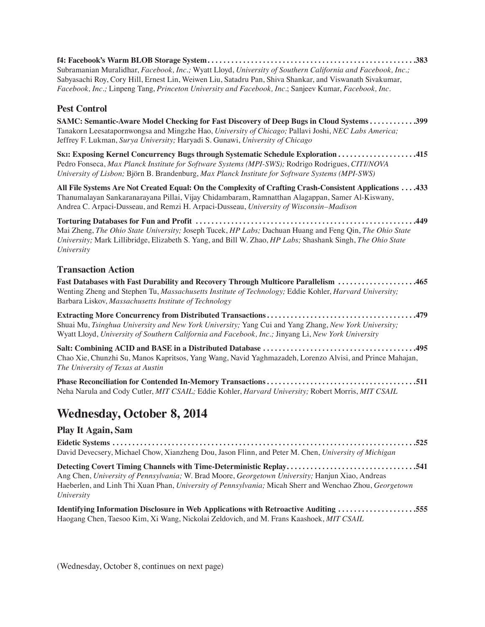**f4: Facebook's Warm BLOB Storage System . . . . . . . . . . . . . . . . . . . . . . . . . . . . . . . . . . . . . . . . . . . . . . . . . . . . 383** Subramanian Muralidhar, *Facebook, Inc.;* Wyatt Lloyd, *University of Southern California and Facebook, Inc.;* Sabyasachi Roy, Cory Hill, Ernest Lin, Weiwen Liu, Satadru Pan, Shiva Shankar, and Viswanath Sivakumar, *Facebook, Inc.;* Linpeng Tang, *Princeton University and Facebook, Inc.*; Sanjeev Kumar, *Facebook, Inc.*

### **Pest Control**

**SAMC: Semantic-Aware Model Checking for Fast Discovery of Deep Bugs in Cloud Systems . . . . . . . . . . . 399** Tanakorn Leesatapornwongsa and Mingzhe Hao, *University of Chicago;* Pallavi Joshi, *NEC Labs America;* Jeffrey F. Lukman, *Surya University;* Haryadi S. Gunawi, *University of Chicago*

**Ski: Exposing Kernel Concurrency Bugs through Systematic Schedule Exploration . . . . . . . . . . . . . . . . . . . 415** Pedro Fonseca, *Max Planck Institute for Software Systems (MPI-SWS);* Rodrigo Rodrigues, *CITI/NOVA University of Lisbon;* Björn B. Brandenburg, *Max Planck Institute for Software Systems (MPI-SWS)*

**All File Systems Are Not Created Equal: On the Complexity of Crafting Crash-Consistent Applications . . . 433** Thanumalayan Sankaranarayana Pillai, Vijay Chidambaram, Ramnatthan Alagappan, Samer Al-Kiswany, Andrea C. Arpaci-Dusseau, and Remzi H. Arpaci-Dusseau, *University of Wisconsin–Madison*

**Torturing Databases for Fun and Profit . . . . . . . . . . . . . . . . . . . . . . . . . . . . . . . . . . . . . . . . . . . . . . . . . . . . . . . 449** Mai Zheng, *The Ohio State University;* Joseph Tucek, *HP Labs;* Dachuan Huang and Feng Qin, *The Ohio State University;* Mark Lillibridge, Elizabeth S. Yang, and Bill W. Zhao, *HP Labs;* Shashank Singh, *The Ohio State University*

#### **Transaction Action**

**Fast Databases with Fast Durability and Recovery Through Multicore Parallelism . . . . . . . . . . . . . . . . . . . 465** Wenting Zheng and Stephen Tu, *Massachusetts Institute of Technology;* Eddie Kohler, *Harvard University;* Barbara Liskov, *Massachusetts Institute of Technology*

**Extracting More Concurrency from Distributed Transactions . . . . . . . . . . . . . . . . . . . . . . . . . . . . . . . . . . . . . 479** Shuai Mu, *Tsinghua University and New York University;* Yang Cui and Yang Zhang, *New York University;* Wyatt Lloyd, *University of Southern California and Facebook, Inc.;* Jinyang Li, *New York University*

**Salt: Combining ACID and BASE in a Distributed Database . . . . . . . . . . . . . . . . . . . . . . . . . . . . . . . . . . . . . . 495** Chao Xie, Chunzhi Su, Manos Kapritsos, Yang Wang, Navid Yaghmazadeh, Lorenzo Alvisi, and Prince Mahajan, *The University of Texas at Austin*

**Phase Reconciliation for Contended In-Memory Transactions . . . . . . . . . . . . . . . . . . . . . . . . . . . . . . . . . . . . . 511** Neha Narula and Cody Cutler, *MIT CSAIL;* Eddie Kohler, *Harvard University;* Robert Morris, *MIT CSAIL*

# **Wednesday, October 8, 2014**

#### **Play It Again, Sam**

**Eidetic Systems . . . . . . . . . . . . . . . . . . . . . . . . . . . . . . . . . . . . . . . . . . . . . . . . . . . . . . . . . . . . . . . . . . . . . . . . . . . . 525** David Devecsery, Michael Chow, Xianzheng Dou, Jason Flinn, and Peter M. Chen, *University of Michigan*

**Detecting Covert Timing Channels with Time-Deterministic Replay . . . . . . . . . . . . . . . . . . . . . . . . . . . . . . . . 541** Ang Chen, *University of Pennsylvania;* W. Brad Moore, *Georgetown University;* Hanjun Xiao, Andreas Haeberlen, and Linh Thi Xuan Phan, *University of Pennsylvania;* Micah Sherr and Wenchao Zhou, *Georgetown University*

**Identifying Information Disclosure in Web Applications with Retroactive Auditing . . . . . . . . . . . . . . . . . . . 555** Haogang Chen, Taesoo Kim, Xi Wang, Nickolai Zeldovich, and M. Frans Kaashoek, *MIT CSAIL*